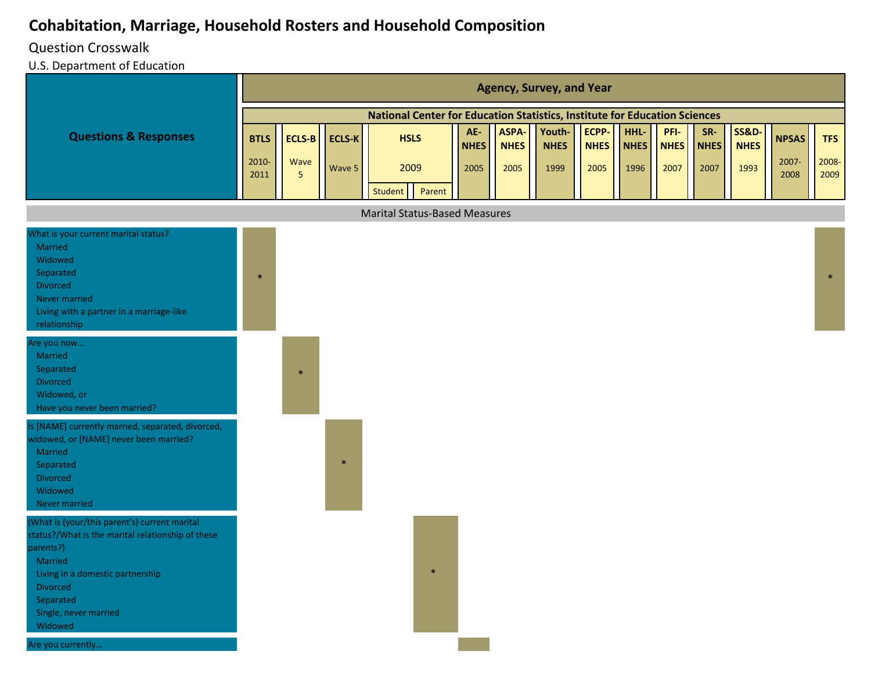## **Cohabitation, Marriage, Household Rosters and Household Composition**

## Question Crosswalk

U.S. Department of Education

|                                                                                                                                                                                                                                                         |               |                         |               |                                                                            |                    |                      | <b>Agency, Survey, and Year</b> |                      |                     |                     |                    |                                 |               |               |
|---------------------------------------------------------------------------------------------------------------------------------------------------------------------------------------------------------------------------------------------------------|---------------|-------------------------|---------------|----------------------------------------------------------------------------|--------------------|----------------------|---------------------------------|----------------------|---------------------|---------------------|--------------------|---------------------------------|---------------|---------------|
|                                                                                                                                                                                                                                                         |               |                         |               | National Center for Education Statistics, Institute for Education Sciences |                    |                      |                                 |                      |                     |                     |                    |                                 |               |               |
| <b>Questions &amp; Responses</b>                                                                                                                                                                                                                        | <b>BTLS</b>   |                         | ECLS-B ECLS-K | <b>HSLS</b>                                                                | AE-<br><b>NHES</b> | ASPA-<br><b>NHES</b> | Youth-<br><b>NHES</b>           | ECPP-<br><b>NHES</b> | HHL-<br><b>NHES</b> | PFI-<br><b>NHES</b> | SR-<br><b>NHES</b> | <b>SS&amp;D-</b><br><b>NHES</b> | <b>NPSAS</b>  | <b>TFS</b>    |
|                                                                                                                                                                                                                                                         | 2010-<br>2011 | Wave<br>$5\phantom{.0}$ | Wave 5        | 2009<br>Student<br>Parent                                                  | 2005               | 2005                 | 1999                            | 2005                 | 1996                | 2007                | 2007               | 1993                            | 2007-<br>2008 | 2008-<br>2009 |
|                                                                                                                                                                                                                                                         |               |                         |               | <b>Marital Status-Based Measures</b>                                       |                    |                      |                                 |                      |                     |                     |                    |                                 |               |               |
| What is your current marital status?<br>Married<br>Widowed<br>Separated<br><b>Divorced</b><br>Never married<br>Living with a partner in a marriage-like<br>relationship                                                                                 | $\ast$        |                         |               |                                                                            |                    |                      |                                 |                      |                     |                     |                    |                                 |               | $\ast$        |
| Are you now<br>Married<br>Separated<br>Divorced<br>Widowed, or<br>Have you never been married?                                                                                                                                                          |               | $\ast$                  |               |                                                                            |                    |                      |                                 |                      |                     |                     |                    |                                 |               |               |
| Is [NAME] currently married, separated, divorced,<br>widowed, or [NAME] never been married?<br>Married<br>Separated<br><b>Divorced</b><br>Widowed<br>Never married                                                                                      |               |                         | $\ast$        |                                                                            |                    |                      |                                 |                      |                     |                     |                    |                                 |               |               |
| (What is (your/this parent's) current marital<br>status?/What is the marital relationship of these<br>parents?)<br>Married<br>Living in a domestic partnership<br><b>Divorced</b><br>Separated<br>Single, never married<br>Widowed<br>Are you currently |               |                         |               | $\ast$                                                                     |                    |                      |                                 |                      |                     |                     |                    |                                 |               |               |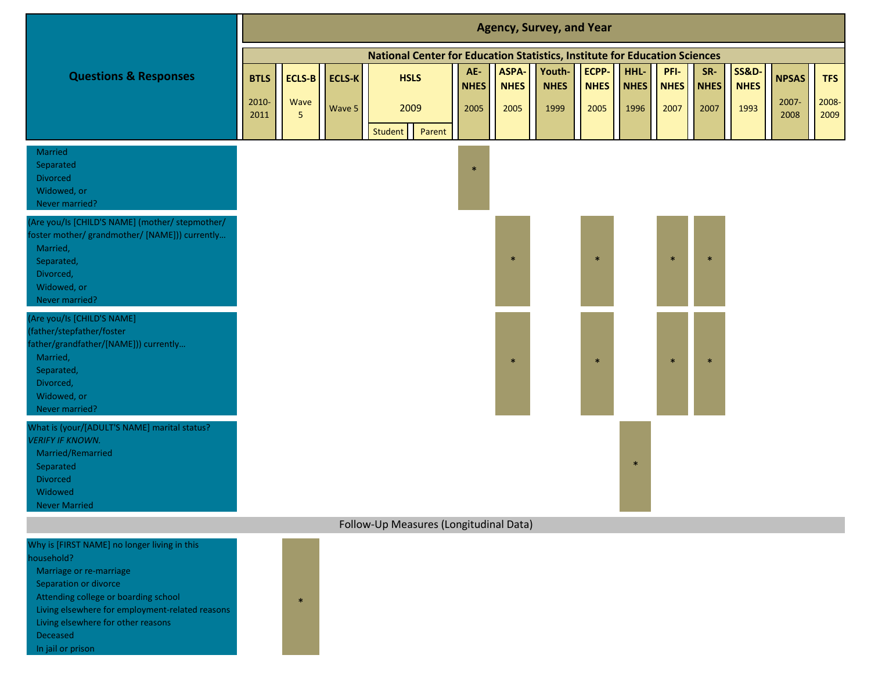|                                                                                                                                                                           |               |           |               |                                                                            |                    |                      | <b>Agency, Survey, and Year</b> |                      |                     |                     |                    |                                 |               |               |
|---------------------------------------------------------------------------------------------------------------------------------------------------------------------------|---------------|-----------|---------------|----------------------------------------------------------------------------|--------------------|----------------------|---------------------------------|----------------------|---------------------|---------------------|--------------------|---------------------------------|---------------|---------------|
|                                                                                                                                                                           |               |           |               | National Center for Education Statistics, Institute for Education Sciences |                    |                      |                                 |                      |                     |                     |                    |                                 |               |               |
| <b>Questions &amp; Responses</b>                                                                                                                                          | <b>BTLS</b>   | ECLS-B    | <b>ECLS-K</b> | <b>HSLS</b>                                                                | AE-<br><b>NHES</b> | ASPA-<br><b>NHES</b> | Youth-<br><b>NHES</b>           | ECPP-<br><b>NHES</b> | HHL-<br><b>NHES</b> | PFI-<br><b>NHES</b> | SR-<br><b>NHES</b> | <b>SS&amp;D-</b><br><b>NHES</b> | <b>NPSAS</b>  | <b>TFS</b>    |
|                                                                                                                                                                           | 2010-<br>2011 | Wave<br>5 | Wave 5        | 2009<br>Student<br>Parent                                                  | 2005               | 2005                 | 1999                            | 2005                 | 1996                | 2007                | 2007               | 1993                            | 2007-<br>2008 | 2008-<br>2009 |
| Married<br>Separated<br>Divorced<br>Widowed, or<br>Never married?                                                                                                         |               |           |               |                                                                            | $\ast$             |                      |                                 |                      |                     |                     |                    |                                 |               |               |
| (Are you/Is [CHILD'S NAME] (mother/ stepmother/<br>foster mother/ grandmother/ [NAME])) currently<br>Married,<br>Separated,<br>Divorced,<br>Widowed, or<br>Never married? |               |           |               |                                                                            |                    | $\ast$               |                                 | $\ast$               |                     | $\ast$              | $\ast$             |                                 |               |               |
| (Are you/Is [CHILD'S NAME]<br>(father/stepfather/foster<br>father/grandfather/[NAME])) currently<br>Married,<br>Separated,<br>Divorced,<br>Widowed, or<br>Never married?  |               |           |               |                                                                            |                    | $\ast$               |                                 | $\ast$               |                     | $\ast$              | $\ast$             |                                 |               |               |
| What is (your/[ADULT'S NAME] marital status?<br><b>VERIFY IF KNOWN.</b><br>Married/Remarried<br>Separated<br>Divorced<br>Widowed<br><b>Never Married</b>                  |               |           |               |                                                                            |                    |                      |                                 |                      | $\ast$              |                     |                    |                                 |               |               |
|                                                                                                                                                                           |               |           |               | Follow-Up Measures (Longitudinal Data)                                     |                    |                      |                                 |                      |                     |                     |                    |                                 |               |               |
| Why is [FIRST NAME] no longer living in this<br>nousehold?<br>Marriage or re-marriage<br>Separation or divorce                                                            |               |           |               |                                                                            |                    |                      |                                 |                      |                     |                     |                    |                                 |               |               |

Attending college or boarding school

Living elsewhere for employment-related reasons

\*

Living elsewhere for other reasons

Deceased In jail or prison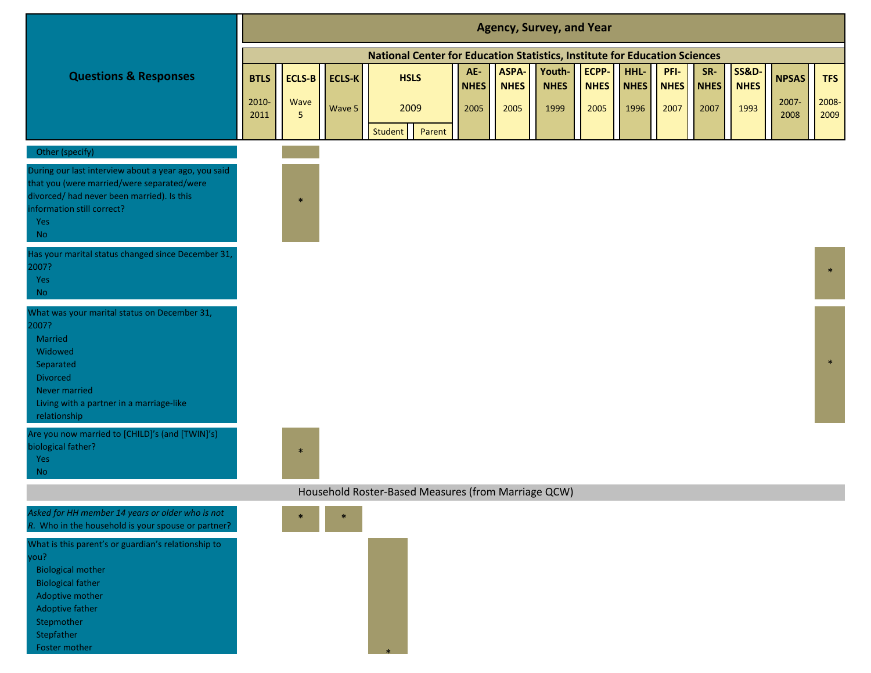|                                                                                                                                                                                                        |                              |                     |                         |                                                                                   |                            |                              | <b>Agency, Survey, and Year</b> |                              |                             |                             |                            |                                         |                               |                             |
|--------------------------------------------------------------------------------------------------------------------------------------------------------------------------------------------------------|------------------------------|---------------------|-------------------------|-----------------------------------------------------------------------------------|----------------------------|------------------------------|---------------------------------|------------------------------|-----------------------------|-----------------------------|----------------------------|-----------------------------------------|-------------------------------|-----------------------------|
|                                                                                                                                                                                                        |                              |                     |                         | <b>National Center for Education Statistics, Institute for Education Sciences</b> |                            |                              |                                 |                              |                             |                             |                            |                                         |                               |                             |
| <b>Questions &amp; Responses</b>                                                                                                                                                                       | <b>BTLS</b><br>2010-<br>2011 | ECLS-B<br>Wave<br>5 | <b>ECLS-K</b><br>Wave 5 | <b>HSLS</b><br>2009                                                               | AE-<br><b>NHES</b><br>2005 | ASPA-<br><b>NHES</b><br>2005 | Youth-<br><b>NHES</b><br>1999   | ECPP-<br><b>NHES</b><br>2005 | HHL-<br><b>NHES</b><br>1996 | PFI-<br><b>NHES</b><br>2007 | SR-<br><b>NHES</b><br>2007 | <b>SS&amp;D-</b><br><b>NHES</b><br>1993 | <b>NPSAS</b><br>2007-<br>2008 | <b>TFS</b><br>2008-<br>2009 |
| Other (specify)                                                                                                                                                                                        |                              |                     |                         | Student<br>Parent                                                                 |                            |                              |                                 |                              |                             |                             |                            |                                         |                               |                             |
| During our last interview about a year ago, you said<br>that you (were married/were separated/were<br>divorced/ had never been married). Is this<br>information still correct?<br>Yes<br><b>No</b>     |                              | $\ast$              |                         |                                                                                   |                            |                              |                                 |                              |                             |                             |                            |                                         |                               |                             |
| Has your marital status changed since December 31,<br>2007?<br>Yes<br><b>No</b>                                                                                                                        |                              |                     |                         |                                                                                   |                            |                              |                                 |                              |                             |                             |                            |                                         |                               | $\ast$                      |
| What was your marital status on December 31,<br>2007?<br>Married<br>Widowed<br>Separated<br><b>Divorced</b><br>Never married<br>Living with a partner in a marriage-like<br>relationship               |                              |                     |                         |                                                                                   |                            |                              |                                 |                              |                             |                             |                            |                                         |                               | $\ast$                      |
| Are you now married to [CHILD]'s (and [TWIN]'s)<br>biological father?<br>Yes<br>No.                                                                                                                    |                              | $\ast$              |                         |                                                                                   |                            |                              |                                 |                              |                             |                             |                            |                                         |                               |                             |
|                                                                                                                                                                                                        |                              |                     |                         | Household Roster-Based Measures (from Marriage QCW)                               |                            |                              |                                 |                              |                             |                             |                            |                                         |                               |                             |
| Asked for HH member 14 years or older who is not<br>R. Who in the household is your spouse or partner?                                                                                                 |                              | $\ast$              | $\ast$                  |                                                                                   |                            |                              |                                 |                              |                             |                             |                            |                                         |                               |                             |
| What is this parent's or guardian's relationship to<br>you?<br><b>Biological mother</b><br><b>Biological father</b><br>Adoptive mother<br>Adoptive father<br>Stepmother<br>Stepfather<br>Foster mother |                              |                     |                         |                                                                                   |                            |                              |                                 |                              |                             |                             |                            |                                         |                               |                             |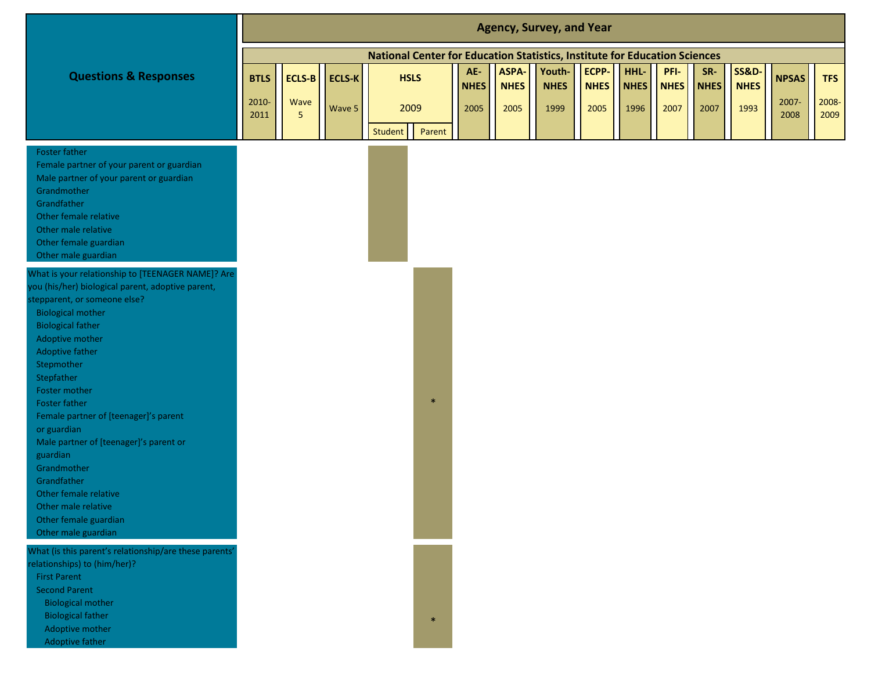|                                                                                                                                                                                                                                                                                                                                                                                                                                                                                                                                                       |                              |                                         |                         |             |        |                            |                              | <b>Agency, Survey, and Year</b>                                            |                              |                             |                             |                            |                                         |                               |                             |
|-------------------------------------------------------------------------------------------------------------------------------------------------------------------------------------------------------------------------------------------------------------------------------------------------------------------------------------------------------------------------------------------------------------------------------------------------------------------------------------------------------------------------------------------------------|------------------------------|-----------------------------------------|-------------------------|-------------|--------|----------------------------|------------------------------|----------------------------------------------------------------------------|------------------------------|-----------------------------|-----------------------------|----------------------------|-----------------------------------------|-------------------------------|-----------------------------|
|                                                                                                                                                                                                                                                                                                                                                                                                                                                                                                                                                       |                              |                                         |                         |             |        |                            |                              | National Center for Education Statistics, Institute for Education Sciences |                              |                             |                             |                            |                                         |                               |                             |
| <b>Questions &amp; Responses</b>                                                                                                                                                                                                                                                                                                                                                                                                                                                                                                                      | <b>BTLS</b><br>2010-<br>2011 | <b>ECLS-B</b><br>Wave<br>5 <sup>5</sup> | <b>ECLS-K</b><br>Wave 5 | <b>HSLS</b> | 2009   | AE-<br><b>NHES</b><br>2005 | ASPA-<br><b>NHES</b><br>2005 | Youth-<br><b>NHES</b><br>1999                                              | ECPP-<br><b>NHES</b><br>2005 | HHL-<br><b>NHES</b><br>1996 | PFI-<br><b>NHES</b><br>2007 | SR-<br><b>NHES</b><br>2007 | <b>SS&amp;D-</b><br><b>NHES</b><br>1993 | <b>NPSAS</b><br>2007-<br>2008 | <b>TFS</b><br>2008-<br>2009 |
|                                                                                                                                                                                                                                                                                                                                                                                                                                                                                                                                                       |                              |                                         |                         | Student     | Parent |                            |                              |                                                                            |                              |                             |                             |                            |                                         |                               |                             |
| <b>Foster father</b><br>Female partner of your parent or guardian<br>Male partner of your parent or guardian<br>Grandmother<br>Grandfather<br>Other female relative<br>Other male relative<br>Other female guardian<br>Other male guardian                                                                                                                                                                                                                                                                                                            |                              |                                         |                         |             |        |                            |                              |                                                                            |                              |                             |                             |                            |                                         |                               |                             |
| What is your relationship to [TEENAGER NAME]? Are<br>you (his/her) biological parent, adoptive parent,<br>stepparent, or someone else?<br><b>Biological mother</b><br><b>Biological father</b><br>Adoptive mother<br>Adoptive father<br>Stepmother<br>Stepfather<br>Foster mother<br><b>Foster father</b><br>Female partner of [teenager]'s parent<br>or guardian<br>Male partner of [teenager]'s parent or<br>guardian<br>Grandmother<br>Grandfather<br>Other female relative<br>Other male relative<br>Other female guardian<br>Other male guardian |                              |                                         |                         |             | $\ast$ |                            |                              |                                                                            |                              |                             |                             |                            |                                         |                               |                             |
| What (is this parent's relationship/are these parents'<br>relationships) to (him/her)?<br><b>First Parent</b><br><b>Second Parent</b><br><b>Biological mother</b><br><b>Biological father</b><br>Adoptive mother<br>Adoptive father                                                                                                                                                                                                                                                                                                                   |                              |                                         |                         |             | $\ast$ |                            |                              |                                                                            |                              |                             |                             |                            |                                         |                               |                             |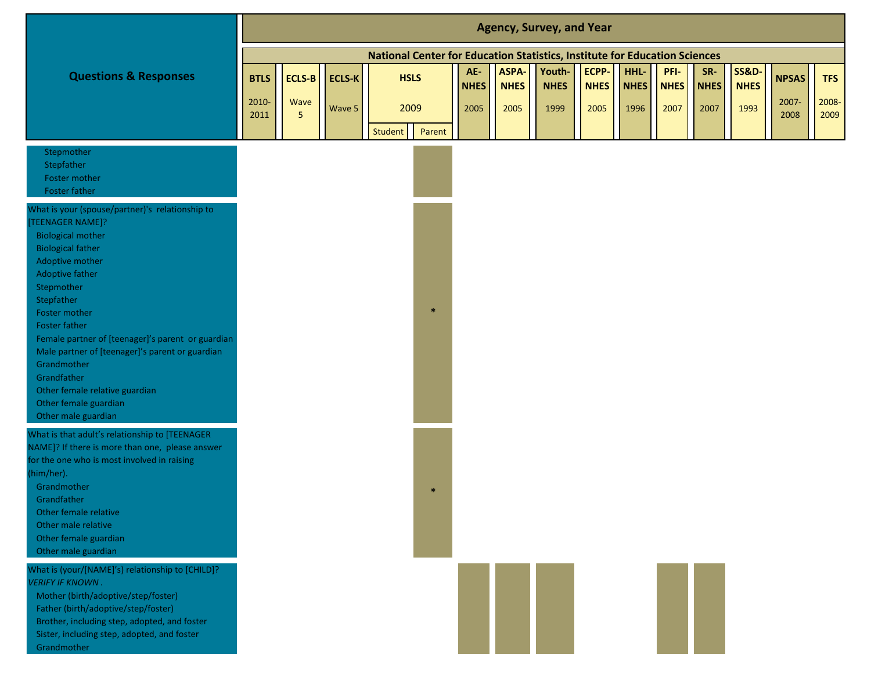|                                                                                                                                                                                                                                                                                                                                                                                                                                                                       |                              |           |                                |                                                                            |                            |                              | <b>Agency, Survey, and Year</b> |                              |                             |                             |                            |                                         |                               |                             |
|-----------------------------------------------------------------------------------------------------------------------------------------------------------------------------------------------------------------------------------------------------------------------------------------------------------------------------------------------------------------------------------------------------------------------------------------------------------------------|------------------------------|-----------|--------------------------------|----------------------------------------------------------------------------|----------------------------|------------------------------|---------------------------------|------------------------------|-----------------------------|-----------------------------|----------------------------|-----------------------------------------|-------------------------------|-----------------------------|
|                                                                                                                                                                                                                                                                                                                                                                                                                                                                       |                              |           |                                | National Center for Education Statistics, Institute for Education Sciences |                            |                              |                                 |                              |                             |                             |                            |                                         |                               |                             |
| <b>Questions &amp; Responses</b>                                                                                                                                                                                                                                                                                                                                                                                                                                      | <b>BTLS</b><br>2010-<br>2011 | Wave<br>5 | <b>ECLS-B</b> ECLS-K<br>Wave 5 | <b>HSLS</b><br>2009<br>Student<br>Parent                                   | AE-<br><b>NHES</b><br>2005 | ASPA-<br><b>NHES</b><br>2005 | Youth-<br><b>NHES</b><br>1999   | ECPP-<br><b>NHES</b><br>2005 | HHL-<br><b>NHES</b><br>1996 | PFI-<br><b>NHES</b><br>2007 | SR-<br><b>NHES</b><br>2007 | <b>SS&amp;D-</b><br><b>NHES</b><br>1993 | <b>NPSAS</b><br>2007-<br>2008 | <b>TFS</b><br>2008-<br>2009 |
| Stepmother<br>Stepfather<br>Foster mother<br>Foster father                                                                                                                                                                                                                                                                                                                                                                                                            |                              |           |                                |                                                                            |                            |                              |                                 |                              |                             |                             |                            |                                         |                               |                             |
| What is your (spouse/partner)'s relationship to<br>[TEENAGER NAME]?<br><b>Biological mother</b><br><b>Biological father</b><br>Adoptive mother<br><b>Adoptive father</b><br>Stepmother<br>Stepfather<br>Foster mother<br><b>Foster father</b><br>Female partner of [teenager]'s parent or guardian<br>Male partner of [teenager]'s parent or guardian<br>Grandmother<br>Grandfather<br>Other female relative guardian<br>Other female guardian<br>Other male guardian |                              |           |                                | $\ast$                                                                     |                            |                              |                                 |                              |                             |                             |                            |                                         |                               |                             |
| What is that adult's relationship to [TEENAGER<br>NAME]? If there is more than one, please answer<br>for the one who is most involved in raising<br>(him/her).<br>Grandmother<br>Grandfather<br>Other female relative<br>Other male relative<br>Other female guardian<br>Other male guardian                                                                                                                                                                          |                              |           |                                | $\ast$                                                                     |                            |                              |                                 |                              |                             |                             |                            |                                         |                               |                             |
| What is (your/[NAME]'s) relationship to [CHILD]?<br><b>VERIFY IF KNOWN.</b><br>Mother (birth/adoptive/step/foster)<br>Father (birth/adoptive/step/foster)<br>Brother, including step, adopted, and foster<br>Sister, including step, adopted, and foster<br>Grandmother                                                                                                                                                                                               |                              |           |                                |                                                                            |                            |                              |                                 |                              |                             |                             |                            |                                         |                               |                             |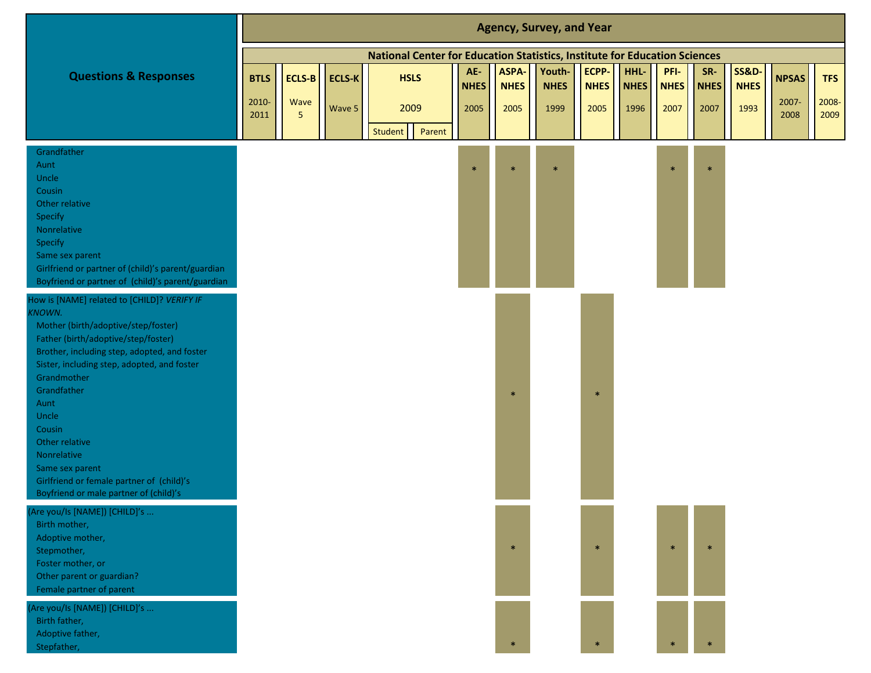|                                                                                                                                                                                                                                                                                                                                                                                                                                               |                      |                |        |                                                                            |                    |                             | <b>Agency, Survey, and Year</b> |                      |                     |                     |                    |                                 |                       |                     |
|-----------------------------------------------------------------------------------------------------------------------------------------------------------------------------------------------------------------------------------------------------------------------------------------------------------------------------------------------------------------------------------------------------------------------------------------------|----------------------|----------------|--------|----------------------------------------------------------------------------|--------------------|-----------------------------|---------------------------------|----------------------|---------------------|---------------------|--------------------|---------------------------------|-----------------------|---------------------|
|                                                                                                                                                                                                                                                                                                                                                                                                                                               |                      |                |        | National Center for Education Statistics, Institute for Education Sciences |                    |                             |                                 |                      |                     |                     |                    |                                 |                       |                     |
| <b>Questions &amp; Responses</b>                                                                                                                                                                                                                                                                                                                                                                                                              | <b>BTLS</b><br>2010- | ECLS-B<br>Wave | ECLS-K | <b>HSLS</b>                                                                | AE-<br><b>NHES</b> | <b>ASPA-</b><br><b>NHES</b> | Youth-<br><b>NHES</b>           | ECPP-<br><b>NHES</b> | HHL-<br><b>NHES</b> | PFI-<br><b>NHES</b> | SR-<br><b>NHES</b> | <b>SS&amp;D-</b><br><b>NHES</b> | <b>NPSAS</b><br>2007- | <b>TFS</b><br>2008- |
|                                                                                                                                                                                                                                                                                                                                                                                                                                               | 2011                 | $5\phantom{.}$ | Wave 5 | 2009<br>Student<br>Parent                                                  | 2005               | 2005                        | 1999                            | 2005                 | 1996                | 2007                | 2007               | 1993                            | 2008                  | 2009                |
| Grandfather<br>Aunt<br>Uncle<br>Cousin<br>Other relative<br>Specify<br>Nonrelative<br>Specify<br>Same sex parent<br>Girlfriend or partner of (child)'s parent/guardian<br>Boyfriend or partner of (child)'s parent/guardian                                                                                                                                                                                                                   |                      |                |        |                                                                            | $\ast$             |                             | $\ast$                          |                      |                     | $\ast$              | $\ast$             |                                 |                       |                     |
| How is [NAME] related to [CHILD]? VERIFY IF<br><b>KNOWN.</b><br>Mother (birth/adoptive/step/foster)<br>Father (birth/adoptive/step/foster)<br>Brother, including step, adopted, and foster<br>Sister, including step, adopted, and foster<br>Grandmother<br>Grandfather<br>Aunt<br>Uncle<br>Cousin<br>Other relative<br>Nonrelative<br>Same sex parent<br>Girlfriend or female partner of (child)'s<br>Boyfriend or male partner of (child)'s |                      |                |        |                                                                            |                    | 米                           |                                 | $\ast$               |                     |                     |                    |                                 |                       |                     |
| (Are you/Is [NAME]) [CHILD]'s<br>Birth mother,<br>Adoptive mother,<br>Stepmother,<br>Foster mother, or<br>Other parent or guardian?<br>Female partner of parent                                                                                                                                                                                                                                                                               |                      |                |        |                                                                            |                    | $\ast$                      |                                 | $\ast$               |                     | $\ast$              | $\ast$             |                                 |                       |                     |
| (Are you/Is [NAME]) [CHILD]'s<br>Birth father,<br>Adoptive father,<br>Stepfather,                                                                                                                                                                                                                                                                                                                                                             |                      |                |        |                                                                            |                    |                             |                                 | $\ast$               |                     |                     |                    |                                 |                       |                     |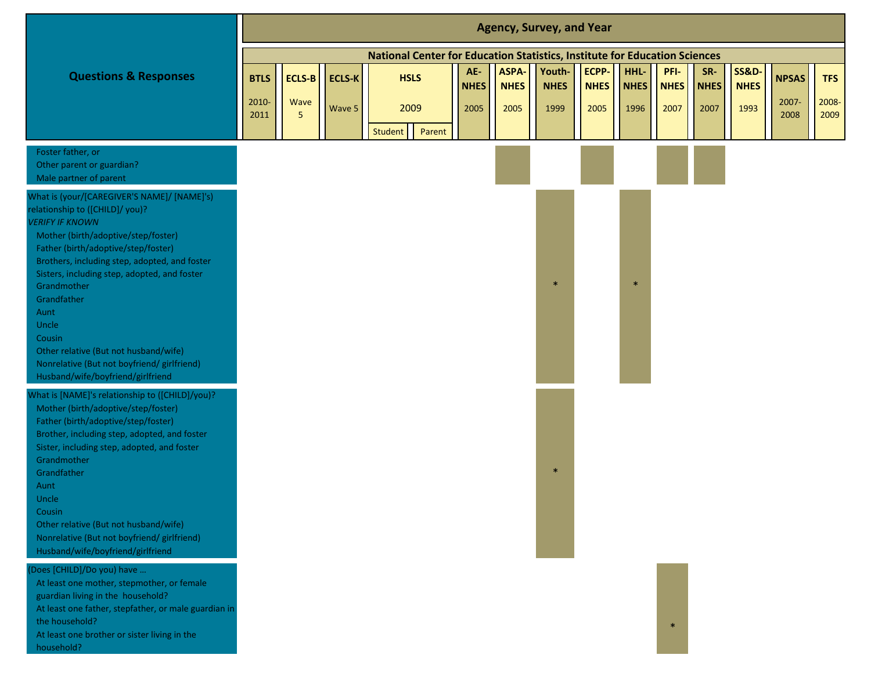|                                                                                                                                                                                                                                                                                                                                                                                                                                                                               |                              |                            |                         |                                                                            |                            |                                    | <b>Agency, Survey, and Year</b> |                              |                             |                             |                            |                                         |                               |                             |
|-------------------------------------------------------------------------------------------------------------------------------------------------------------------------------------------------------------------------------------------------------------------------------------------------------------------------------------------------------------------------------------------------------------------------------------------------------------------------------|------------------------------|----------------------------|-------------------------|----------------------------------------------------------------------------|----------------------------|------------------------------------|---------------------------------|------------------------------|-----------------------------|-----------------------------|----------------------------|-----------------------------------------|-------------------------------|-----------------------------|
|                                                                                                                                                                                                                                                                                                                                                                                                                                                                               |                              |                            |                         | National Center for Education Statistics, Institute for Education Sciences |                            |                                    |                                 |                              |                             |                             |                            |                                         |                               |                             |
| <b>Questions &amp; Responses</b>                                                                                                                                                                                                                                                                                                                                                                                                                                              | <b>BTLS</b><br>2010-<br>2011 | <b>ECLS-B</b><br>Wave<br>5 | <b>ECLS-K</b><br>Wave 5 | <b>HSLS</b><br>2009                                                        | AE-<br><b>NHES</b><br>2005 | <b>ASPA</b><br><b>NHES</b><br>2005 | Youth-<br><b>NHES</b><br>1999   | ECPP-<br><b>NHES</b><br>2005 | HHL-<br><b>NHES</b><br>1996 | PFI-<br><b>NHES</b><br>2007 | SR-<br><b>NHES</b><br>2007 | <b>SS&amp;D-</b><br><b>NHES</b><br>1993 | <b>NPSAS</b><br>2007-<br>2008 | <b>TFS</b><br>2008-<br>2009 |
|                                                                                                                                                                                                                                                                                                                                                                                                                                                                               |                              |                            |                         | Student<br>Parent                                                          |                            |                                    |                                 |                              |                             |                             |                            |                                         |                               |                             |
| Foster father, or<br>Other parent or guardian?<br>Male partner of parent                                                                                                                                                                                                                                                                                                                                                                                                      |                              |                            |                         |                                                                            |                            |                                    |                                 |                              |                             |                             |                            |                                         |                               |                             |
| What is (your/[CAREGIVER'S NAME]/ [NAME]'s)<br>relationship to ([CHILD]/ you)?<br><b>VERIFY IF KNOWN</b><br>Mother (birth/adoptive/step/foster)<br>Father (birth/adoptive/step/foster)<br>Brothers, including step, adopted, and foster<br>Sisters, including step, adopted, and foster<br>Grandmother<br>Grandfather<br>Aunt<br>Uncle<br>Cousin<br>Other relative (But not husband/wife)<br>Nonrelative (But not boyfriend/ girlfriend)<br>Husband/wife/boyfriend/girlfriend |                              |                            |                         |                                                                            |                            |                                    | $\ast$                          |                              |                             |                             |                            |                                         |                               |                             |
| What is [NAME]'s relationship to ([CHILD]/you)?<br>Mother (birth/adoptive/step/foster)<br>Father (birth/adoptive/step/foster)<br>Brother, including step, adopted, and foster<br>Sister, including step, adopted, and foster<br>Grandmother<br>Grandfather<br>Aunt<br>Uncle<br>Cousin<br>Other relative (But not husband/wife)<br>Nonrelative (But not boyfriend/ girlfriend)<br>Husband/wife/boyfriend/girlfriend                                                            |                              |                            |                         |                                                                            |                            |                                    | $\ast$                          |                              |                             |                             |                            |                                         |                               |                             |
| (Does [CHILD]/Do you) have<br>At least one mother, stepmother, or female<br>guardian living in the household?<br>At least one father, stepfather, or male guardian in<br>the household?<br>At least one brother or sister living in the<br>household?                                                                                                                                                                                                                         |                              |                            |                         |                                                                            |                            |                                    |                                 |                              |                             | $\ast$                      |                            |                                         |                               |                             |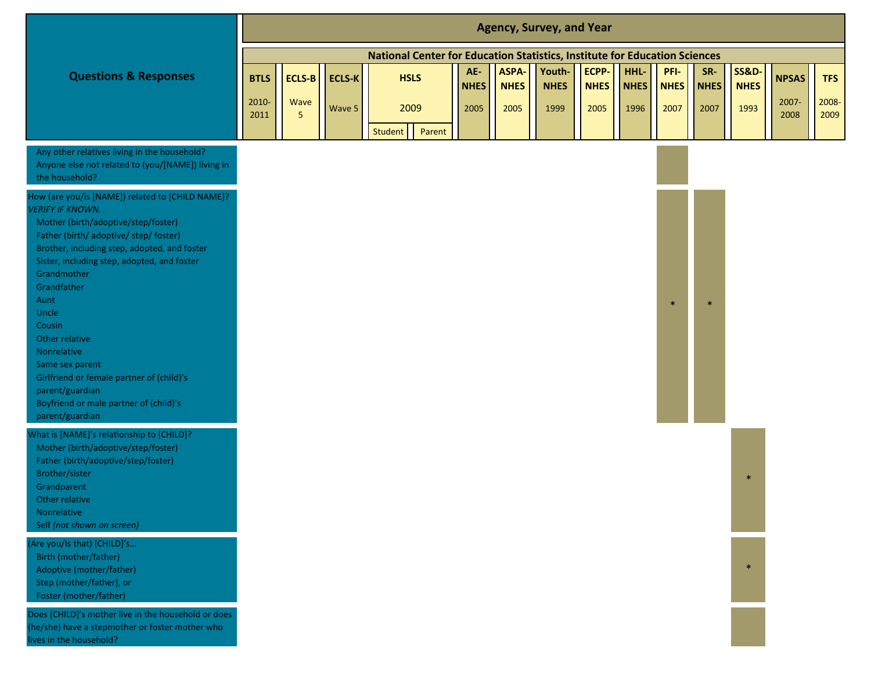|                                                                                                                                                                                                                                                                                                                                                                                                                                                                                                      |                              |                                  |                         |                                                                            |                            |                              | <b>Agency, Survey, and Year</b> |                              |                             |                             |                            |                                         |                               |                             |
|------------------------------------------------------------------------------------------------------------------------------------------------------------------------------------------------------------------------------------------------------------------------------------------------------------------------------------------------------------------------------------------------------------------------------------------------------------------------------------------------------|------------------------------|----------------------------------|-------------------------|----------------------------------------------------------------------------|----------------------------|------------------------------|---------------------------------|------------------------------|-----------------------------|-----------------------------|----------------------------|-----------------------------------------|-------------------------------|-----------------------------|
|                                                                                                                                                                                                                                                                                                                                                                                                                                                                                                      |                              |                                  |                         | National Center for Education Statistics, Institute for Education Sciences |                            |                              |                                 |                              |                             |                             |                            |                                         |                               |                             |
| <b>Questions &amp; Responses</b>                                                                                                                                                                                                                                                                                                                                                                                                                                                                     | <b>BTLS</b><br>2010-<br>2011 | ECLS-B<br>Wave<br>5 <sup>5</sup> | <b>ECLS-K</b><br>Wave 5 | <b>HSLS</b><br>2009<br><b>Student</b><br>Parent                            | AE-<br><b>NHES</b><br>2005 | ASPA-<br><b>NHES</b><br>2005 | Youth-<br><b>NHES</b><br>1999   | ECPP-<br><b>NHES</b><br>2005 | HHL-<br><b>NHES</b><br>1996 | PFI-<br><b>NHES</b><br>2007 | SR-<br><b>NHES</b><br>2007 | <b>SS&amp;D-</b><br><b>NHES</b><br>1993 | <b>NPSAS</b><br>2007-<br>2008 | <b>TFS</b><br>2008-<br>2009 |
| Any other relatives living in the household?<br>Anyone else not related to (you/[NAME]) living in<br>the household?                                                                                                                                                                                                                                                                                                                                                                                  |                              |                                  |                         |                                                                            |                            |                              |                                 |                              |                             |                             |                            |                                         |                               |                             |
| How (are you/is [NAME]) related to [CHILD NAME]?<br><b>ERIFY IF KNOWN.</b><br>Mother (birth/adoptive/step/foster)<br>Father (birth/ adoptive/ step/ foster)<br>Brother, including step, adopted, and foster<br>Sister, including step, adopted, and foster<br>Grandmother<br>Grandfather<br>Aunt<br>Uncle<br>Cousin<br>Other relative<br>Nonrelative<br>Same sex parent<br>Girlfriend or female partner of (child)'s<br>parent/guardian<br>Boyfriend or male partner of (child)'s<br>parent/guardian |                              |                                  |                         |                                                                            |                            |                              |                                 |                              |                             |                             |                            |                                         |                               |                             |
| Vhat is [NAME]'s relationship to [CHILD]?<br>Mother (birth/adoptive/step/foster)<br>Father (birth/adoptive/step/foster)<br>Brother/sister<br>Grandparent<br>Other relative<br>Nonrelative<br>Self (not shown on screen)                                                                                                                                                                                                                                                                              |                              |                                  |                         |                                                                            |                            |                              |                                 |                              |                             |                             |                            | $\ast$                                  |                               |                             |
| (Are you/Is that) [CHILD]'s<br>Birth (mother/father)<br>Adoptive (mother/father)<br>Step (mother/father), or<br>Foster (mother/father)                                                                                                                                                                                                                                                                                                                                                               |                              |                                  |                         |                                                                            |                            |                              |                                 |                              |                             |                             |                            | $\ast$                                  |                               |                             |
| Does [CHILD]'s mother live in the household or does<br>(he/she) have a stepmother or foster mother who<br>ives in the household?                                                                                                                                                                                                                                                                                                                                                                     |                              |                                  |                         |                                                                            |                            |                              |                                 |                              |                             |                             |                            |                                         |                               |                             |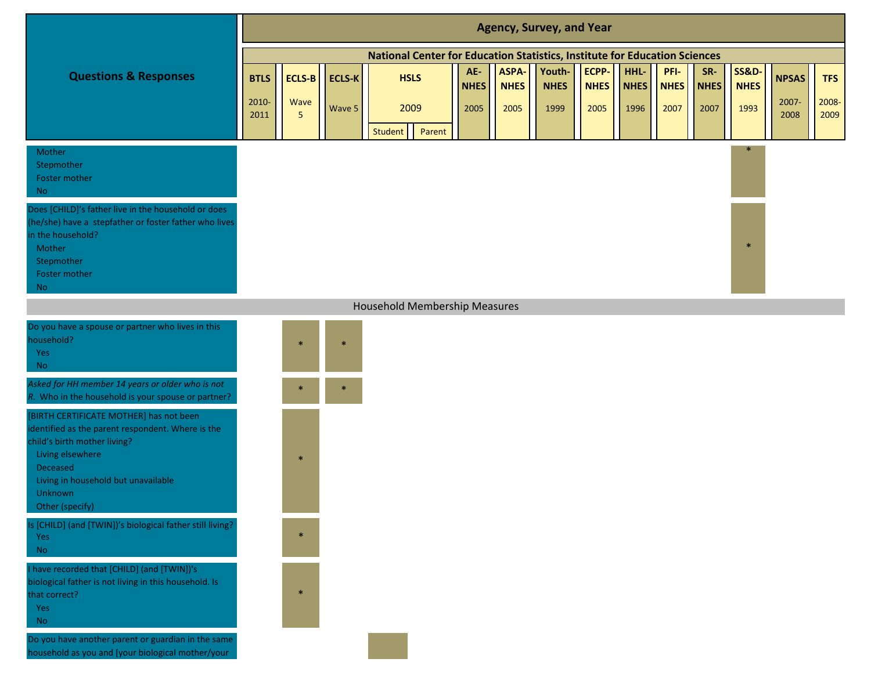|                                                                                                                                                                                                                                   |               |               |               |                                                                            |                    |                      | <b>Agency, Survey, and Year</b> |                      |                     |                     |                    |                                 |               |               |
|-----------------------------------------------------------------------------------------------------------------------------------------------------------------------------------------------------------------------------------|---------------|---------------|---------------|----------------------------------------------------------------------------|--------------------|----------------------|---------------------------------|----------------------|---------------------|---------------------|--------------------|---------------------------------|---------------|---------------|
|                                                                                                                                                                                                                                   |               |               |               | National Center for Education Statistics, Institute for Education Sciences |                    |                      |                                 |                      |                     |                     |                    |                                 |               |               |
| <b>Questions &amp; Responses</b>                                                                                                                                                                                                  | <b>BTLS</b>   | <b>ECLS-B</b> | <b>ECLS-K</b> | <b>HSLS</b>                                                                | AE-<br><b>NHES</b> | ASPA-<br><b>NHES</b> | Youth-<br><b>NHES</b>           | ECPP-<br><b>NHES</b> | HHL-<br><b>NHES</b> | PFI-<br><b>NHES</b> | SR-<br><b>NHES</b> | <b>SS&amp;D-</b><br><b>NHES</b> | <b>NPSAS</b>  | <b>TFS</b>    |
|                                                                                                                                                                                                                                   | 2010-<br>2011 | Wave<br>5     | Wave 5        | 2009<br>Student<br>Parent                                                  | 2005               | 2005                 | 1999                            | 2005                 | 1996                | 2007                | 2007               | 1993                            | 2007-<br>2008 | 2008-<br>2009 |
| Mother<br>Stepmother<br>Foster mother<br>No                                                                                                                                                                                       |               |               |               |                                                                            |                    |                      |                                 |                      |                     |                     |                    | $\ast$                          |               |               |
| Does [CHILD]'s father live in the household or does<br>(he/she) have a stepfather or foster father who lives<br>in the household?<br>Mother<br>Stepmother<br>Foster mother<br><b>No</b>                                           |               |               |               |                                                                            |                    |                      |                                 |                      |                     |                     |                    | $\ast$                          |               |               |
|                                                                                                                                                                                                                                   |               |               |               | Household Membership Measures                                              |                    |                      |                                 |                      |                     |                     |                    |                                 |               |               |
| Do you have a spouse or partner who lives in this<br>household?<br>Yes<br><b>No</b>                                                                                                                                               |               | $\ast$        | $\ast$        |                                                                            |                    |                      |                                 |                      |                     |                     |                    |                                 |               |               |
| Asked for HH member 14 years or older who is not<br>R. Who in the household is your spouse or partner?                                                                                                                            |               |               |               |                                                                            |                    |                      |                                 |                      |                     |                     |                    |                                 |               |               |
| [BIRTH CERTIFICATE MOTHER] has not been<br>identified as the parent respondent. Where is the<br>child's birth mother living?<br>Living elsewhere<br>Deceased<br>Living in household but unavailable<br>Unknown<br>Other (specify) |               | $\ast$        |               |                                                                            |                    |                      |                                 |                      |                     |                     |                    |                                 |               |               |
| Is [CHILD] (and [TWIN])'s biological father still living?<br>Yes<br><b>No</b>                                                                                                                                                     |               | $\ast$        |               |                                                                            |                    |                      |                                 |                      |                     |                     |                    |                                 |               |               |
| have recorded that [CHILD] (and [TWIN])'s<br>biological father is not living in this household. Is<br>that correct?<br>Yes<br><b>No</b>                                                                                           |               | $\ast$        |               |                                                                            |                    |                      |                                 |                      |                     |                     |                    |                                 |               |               |
| Do you have another parent or guardian in the same<br>household as you and [your biological mother/your                                                                                                                           |               |               |               |                                                                            |                    |                      |                                 |                      |                     |                     |                    |                                 |               |               |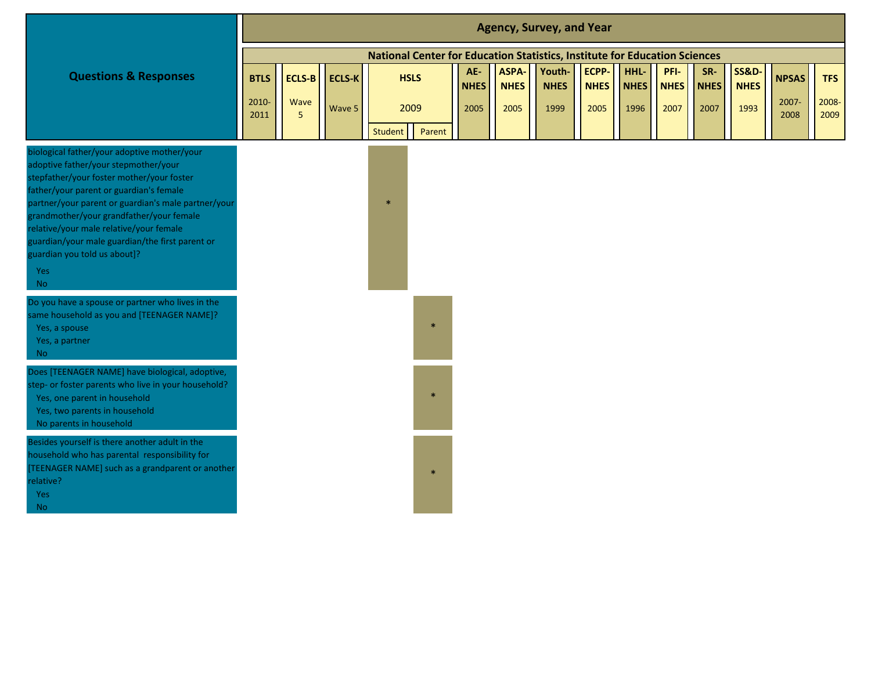|                                                                                                                                                                                                                                                                                                                                                                                                                                  |                              |                                         |                         |                   |                     |                            |                              | <b>Agency, Survey, and Year</b>                                            |                              |                             |                             |                            |                                         |                               |                             |
|----------------------------------------------------------------------------------------------------------------------------------------------------------------------------------------------------------------------------------------------------------------------------------------------------------------------------------------------------------------------------------------------------------------------------------|------------------------------|-----------------------------------------|-------------------------|-------------------|---------------------|----------------------------|------------------------------|----------------------------------------------------------------------------|------------------------------|-----------------------------|-----------------------------|----------------------------|-----------------------------------------|-------------------------------|-----------------------------|
|                                                                                                                                                                                                                                                                                                                                                                                                                                  |                              |                                         |                         |                   |                     |                            |                              | National Center for Education Statistics, Institute for Education Sciences |                              |                             |                             |                            |                                         |                               |                             |
| <b>Questions &amp; Responses</b>                                                                                                                                                                                                                                                                                                                                                                                                 | <b>BTLS</b><br>2010-<br>2011 | <b>ECLS-B</b><br>Wave<br>5 <sup>5</sup> | <b>ECLS-K</b><br>Wave 5 |                   | <b>HSLS</b><br>2009 | AE-<br><b>NHES</b><br>2005 | ASPA-<br><b>NHES</b><br>2005 | Youth-<br><b>NHES</b><br>1999                                              | ECPP-<br><b>NHES</b><br>2005 | HHL-<br><b>NHES</b><br>1996 | PFI-<br><b>NHES</b><br>2007 | SR-<br><b>NHES</b><br>2007 | <b>SS&amp;D-</b><br><b>NHES</b><br>1993 | <b>NPSAS</b><br>2007-<br>2008 | <b>TFS</b><br>2008-<br>2009 |
| biological father/your adoptive mother/your<br>adoptive father/your stepmother/your<br>stepfather/your foster mother/your foster<br>father/your parent or guardian's female<br>partner/your parent or guardian's male partner/your<br>grandmother/your grandfather/your female<br>relative/your male relative/your female<br>guardian/your male guardian/the first parent or<br>guardian you told us about]?<br>Yes<br><b>No</b> |                              |                                         |                         | Student<br>$\ast$ | Parent              |                            |                              |                                                                            |                              |                             |                             |                            |                                         |                               |                             |
| Do you have a spouse or partner who lives in the<br>same household as you and [TEENAGER NAME]?<br>Yes, a spouse<br>Yes, a partner<br><b>No</b>                                                                                                                                                                                                                                                                                   |                              |                                         |                         |                   |                     |                            |                              |                                                                            |                              |                             |                             |                            |                                         |                               |                             |
| Does [TEENAGER NAME] have biological, adoptive,<br>step- or foster parents who live in your household?<br>Yes, one parent in household<br>Yes, two parents in household<br>No parents in household                                                                                                                                                                                                                               |                              |                                         |                         |                   | $\ast$              |                            |                              |                                                                            |                              |                             |                             |                            |                                         |                               |                             |
| Besides yourself is there another adult in the<br>household who has parental responsibility for<br>[TEENAGER NAME] such as a grandparent or another<br>relative?<br>Yes<br>No                                                                                                                                                                                                                                                    |                              |                                         |                         |                   |                     |                            |                              |                                                                            |                              |                             |                             |                            |                                         |                               |                             |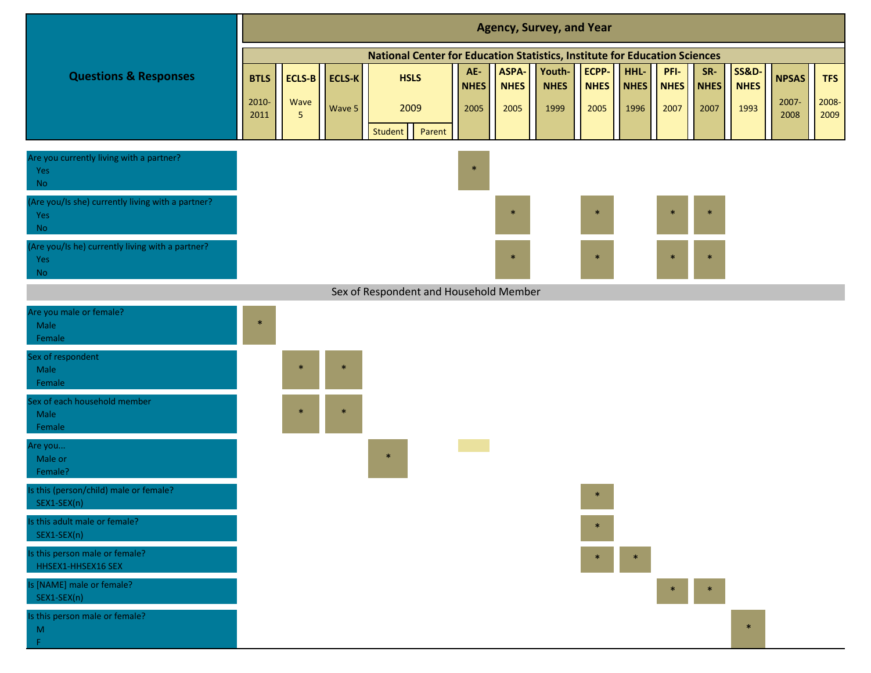|                                                                       |               |                        |               |                                                                            |        |                    |                      | <b>Agency, Survey, and Year</b> |                                                    |                     |                     |                    |                                |               |               |
|-----------------------------------------------------------------------|---------------|------------------------|---------------|----------------------------------------------------------------------------|--------|--------------------|----------------------|---------------------------------|----------------------------------------------------|---------------------|---------------------|--------------------|--------------------------------|---------------|---------------|
|                                                                       |               |                        |               | National Center for Education Statistics, Institute for Education Sciences |        |                    |                      |                                 |                                                    |                     |                     |                    |                                |               |               |
| <b>Questions &amp; Responses</b>                                      | <b>BTLS</b>   | <b>ECLS-B</b>          | <b>ECLS-K</b> | <b>HSLS</b>                                                                |        | AE-<br><b>NHES</b> | ASPA-<br><b>NHES</b> | Youth-<br><b>NHES</b>           | ECPP-<br><b>NHES</b>                               | HHL-<br><b>NHES</b> | PFI-<br><b>NHES</b> | SR-<br><b>NHES</b> | <b>SS&amp;D</b><br><b>NHES</b> | <b>NPSAS</b>  | <b>TFS</b>    |
|                                                                       | 2010-<br>2011 | Wave<br>5 <sub>5</sub> | Wave 5        | 2009<br>Student                                                            | Parent | 2005               | 2005                 | 1999                            | 2005                                               | 1996                | 2007                | 2007               | 1993                           | 2007-<br>2008 | 2008-<br>2009 |
| Are you currently living with a partner?<br>Yes<br><b>No</b>          |               |                        |               |                                                                            |        | $\ast$             |                      |                                 |                                                    |                     |                     |                    |                                |               |               |
| (Are you/Is she) currently living with a partner?<br>Yes<br><b>No</b> |               |                        |               |                                                                            |        |                    | $\ast$               |                                 | $\ast$                                             |                     |                     | $\ast$             |                                |               |               |
| Are you/Is he) currently living with a partner?<br>Yes<br><b>No</b>   |               |                        |               |                                                                            |        |                    | $\ast$               |                                 | $\ast$                                             |                     |                     | $\ast$             |                                |               |               |
|                                                                       |               |                        |               | Sex of Respondent and Household Member                                     |        |                    |                      |                                 |                                                    |                     |                     |                    |                                |               |               |
| Are you male or female?<br>Male<br>Female                             | $\ast$        |                        |               |                                                                            |        |                    |                      |                                 |                                                    |                     |                     |                    |                                |               |               |
| Sex of respondent<br>Male<br>Female                                   |               |                        | $\ast$        |                                                                            |        |                    |                      |                                 |                                                    |                     |                     |                    |                                |               |               |
| Sex of each household member<br>Male<br>Female                        |               |                        | $\ast$        |                                                                            |        |                    |                      |                                 |                                                    |                     |                     |                    |                                |               |               |
| Are you<br>Male or<br>Female?                                         |               |                        |               | $\ast$                                                                     |        |                    |                      |                                 |                                                    |                     |                     |                    |                                |               |               |
| Is this (person/child) male or female?<br>SEX1-SEX(n)                 |               |                        |               |                                                                            |        |                    |                      |                                 | $\ast$                                             |                     |                     |                    |                                |               |               |
| Is this adult male or female?<br>SEX1-SEX(n)                          |               |                        |               |                                                                            |        |                    |                      |                                 |                                                    |                     |                     |                    |                                |               |               |
| Is this person male or female?<br>HHSEX1-HHSEX16 SEX                  |               |                        |               |                                                                            |        |                    |                      |                                 | $\begin{array}{c c c c c} \ast & \ast \end{array}$ |                     |                     |                    |                                |               |               |
| Is [NAME] male or female?<br>SEX1-SEX(n)                              |               |                        |               |                                                                            |        |                    |                      |                                 |                                                    |                     | $*$                 |                    |                                |               |               |
| Is this person male or female?<br>$\mathsf{M}% _{0}$<br>$\mathsf F$   |               |                        |               |                                                                            |        |                    |                      |                                 |                                                    |                     |                     |                    |                                |               |               |